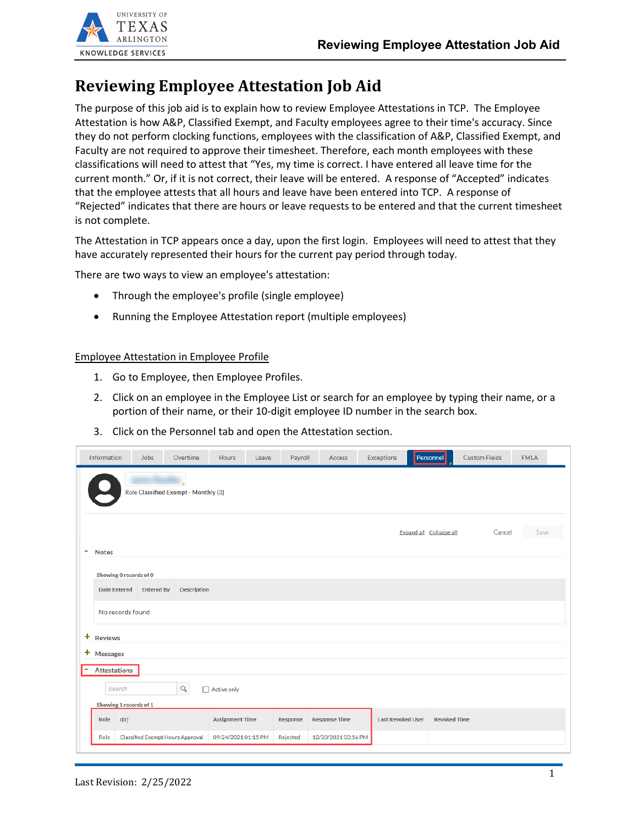

## **Reviewing Employee Attestation Job Aid**

The purpose of this job aid is to explain how to review Employee Attestations in TCP. The Employee Attestation is how A&P, Classified Exempt, and Faculty employees agree to their time's accuracy. Since they do not perform clocking functions, employees with the classification of A&P, Classified Exempt, and Faculty are not required to approve their timesheet. Therefore, each month employees with these classifications will need to attest that "Yes, my time is correct. I have entered all leave time for the current month." Or, if it is not correct, their leave will be entered. A response of "Accepted" indicates that the employee attests that all hours and leave have been entered into TCP. A response of "Rejected" indicates that there are hours or leave requests to be entered and that the current timesheet is not complete.

The Attestation in TCP appears once a day, upon the first login. Employees will need to attest that they have accurately represented their hours for the current pay period through today.

There are two ways to view an employee's attestation:

- Through the employee's profile (single employee)
- Running the Employee Attestation report (multiple employees)

## Employee Attestation in Employee Profile

- 1. Go to Employee, then Employee Profiles.
- 2. Click on an employee in the Employee List or search for an employee by typing their name, or a portion of their name, or their 10-digit employee ID number in the search box.
- 3. Click on the Personnel tab and open the Attestation section.

| Information                                     | <b>Jobs</b>       | Overtime                         | <b>Hours</b><br>Leave  | Payroll  | Access               | Exceptions               | Personnel               | <b>Custom Fields</b> | <b>FMLA</b> |
|-------------------------------------------------|-------------------|----------------------------------|------------------------|----------|----------------------|--------------------------|-------------------------|----------------------|-------------|
| Role Classified Exempt - Monthly (3)            |                   |                                  |                        |          |                      |                          |                         |                      |             |
|                                                 |                   |                                  |                        |          |                      |                          |                         |                      |             |
|                                                 |                   |                                  |                        |          |                      |                          | Expand all Collapse all | Cancel               | Save        |
| ۰<br><b>Notes</b>                               |                   |                                  |                        |          |                      |                          |                         |                      |             |
| Showing 0 records of 0                          |                   |                                  |                        |          |                      |                          |                         |                      |             |
| <b>Date Entered</b>                             | <b>Entered By</b> | Description                      |                        |          |                      |                          |                         |                      |             |
| No records found                                |                   |                                  |                        |          |                      |                          |                         |                      |             |
| ÷<br><b>Reviews</b>                             |                   |                                  |                        |          |                      |                          |                         |                      |             |
| + Messages                                      |                   |                                  |                        |          |                      |                          |                         |                      |             |
| <b>Attestations</b><br>$\overline{\phantom{a}}$ |                   |                                  |                        |          |                      |                          |                         |                      |             |
| Search                                          |                   | Q                                | $\Box$ Active only     |          |                      |                          |                         |                      |             |
| Showing 1 records of 1                          |                   |                                  |                        |          |                      |                          |                         |                      |             |
| ID <sup>1</sup><br>Role                         |                   |                                  | <b>Assignment Time</b> | Response | <b>Response Time</b> | <b>Last Revoked User</b> | <b>Revoked Time</b>     |                      |             |
| Role                                            |                   | Classified Exempt Hours Approval | 09/24/2021 01:15 PM    | Rejected | 12/20/2021 03:56 PM  |                          |                         |                      |             |